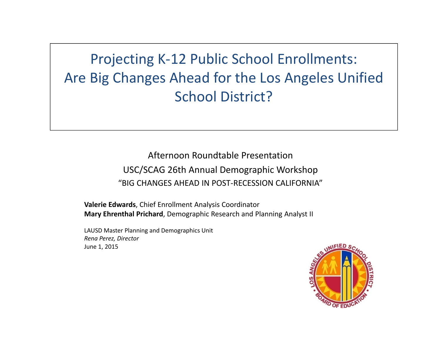Projecting K‐12 Public School Enrollments: Are Big Changes Ahead for the Los Angeles Unified School District?

> Afternoon Roundtable Presentation USC/SCAG 26th Annual Demographic Workshop "BIG CHANGES AHEAD IN POST‐RECESSION CALIFORNIA"

**Valerie Edwards**, Chief Enrollment Analysis Coordinator **Mary Ehrenthal Prichard**, Demographic Research and Planning Analyst II

LAUSD Master Planning and Demographics Unit *Rena Perez, Director* June 1, 2015

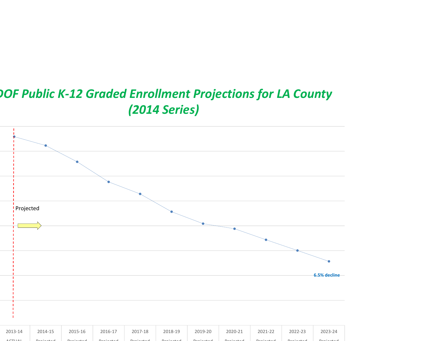# *DOF Public K‐12 Graded Enrollment Projections for LA County (2014 Series)*

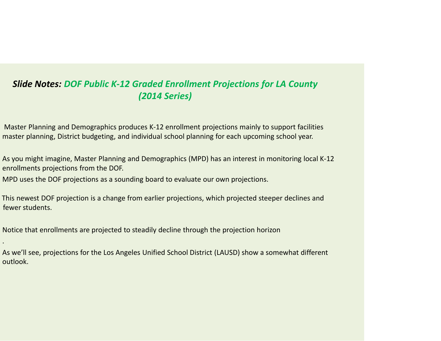#### *Slide Notes: DOF Public K‐12 Graded Enrollment Projections for LA County (2014 Series)*

Master Planning and Demographics produces K‐12 enrollment projections mainly to support facilities master planning, District budgeting, and individual school planning for each upcoming school year.

As you might imagine, Master Planning and Demographics (MPD) has an interest in monitoring local K‐12 enrollments projections from the DOF.

MPD uses the DOF projections as <sup>a</sup> sounding board to evaluate our own projections.

This newest DOF projection is <sup>a</sup> change from earlier projections, which projected steeper declines and fewer students.

Notice that enrollments are projected to steadily decline through the projection horizon

.

As we'll see, projections for the Los Angeles Unified School District (LAUSD) show <sup>a</sup> somewhat different outlook.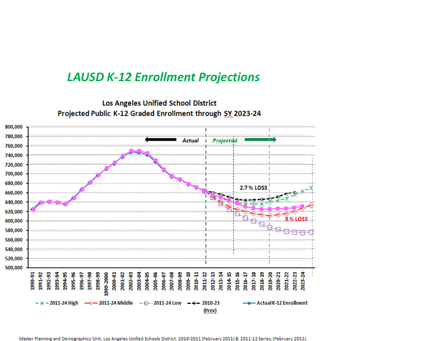## *LAUSD K‐12 Enrollment Projections*

**Los Angeles Unified School District** Projected Public K-12 Graded Enrollment through SY 2023-24



Master Planning and Demographics Unit, Los Angeles Unified Schools District, 2010-2011 (February 2011) & 2011-12 Series, (February 2012)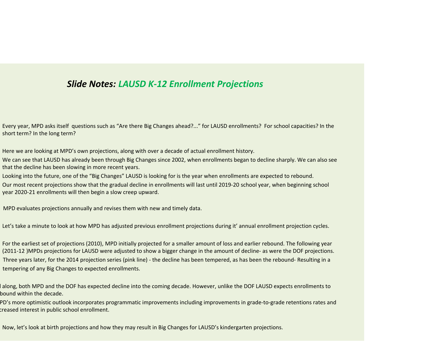#### *Slide Notes: LAUSD K‐12 Enrollment Projections*

Every year, MPD asks itself questions such as "Are there Big Changes ahead?..." for LAUSD enrollments? For school capacities? In the short term? In the long term?

Here we are looking at MPD's own projections, along with over <sup>a</sup> decade of actual enrollment history.

We can see that LAUSD has already been through Big Changes since 2002, when enrollments began to decline sharply. We can also see that the decline has been slowing in more recent years.

Looking into the future, one of the "Big Changes" LAUSD is looking for is the year when enrollments are expected to rebound.

Our most recent projections show that the gradual decline in enrollments will last until 2019‐20 school year, when beginning school year 2020‐21 enrollments will then begin <sup>a</sup> slow creep upward.

MPD evaluates projections annually and revises them with new and timely data.

Let's take <sup>a</sup> minute to look at how MPD has adjusted previous enrollment projections during it' annual enrollment projection cycles.

For the earliest set of projections (2010), MPD initially projected for <sup>a</sup> smaller amount of loss and earlier rebound. The following year (2011-12 )MPDs projections for LAUSD were adjusted to show a bigger change in the amount of decline- as were the DOF projections. Three years later, for the 2014 projection series (pink line) ‐ the decline has been tempered, as has been the rebound‐ Resulting in <sup>a</sup> tempering of any Big Changes to expected enrollments.

 along, both MPD and the DOF has expected decline into the coming decade. However, unlike the DOF LAUSD expects enrollments to bound within the decade.

PD's more optimistic outlook incorporates programmatic improvements including improvements in grade‐to‐grade retentions rates and creased interest in public school enrollment.

Now, let's look at birth projections and how they may result in Big Changes for LAUSD's kindergarten projections.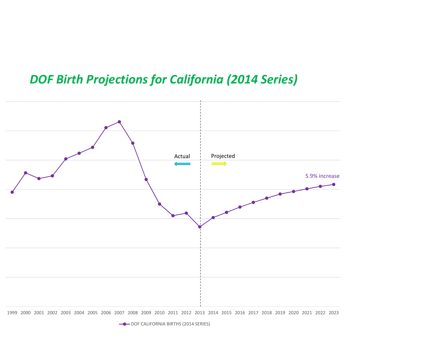## *DOF Birth Projections for California (2014 Series)*



1999 2000 2001 2002 2003 2004 2005 2006 2007 2008 2009 2010 2011 2012 2013 2014 2015 2016 2017 2018 2019 2020 2021 2022 2023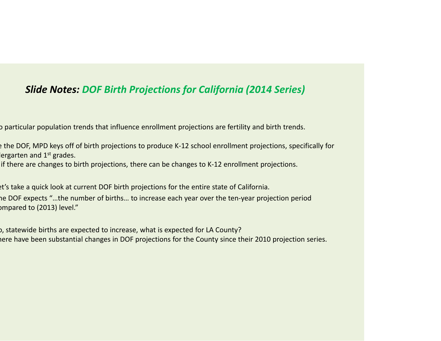## *Slide Notes: DOF Birth Projections for California (2014 Series)*

o particular population trends that influence enrollment projections are fertility and birth trends.

e the DOF, MPD keys off of birth projections to produce K‐12 school enrollment projections, specifically for lergarten and 1<sup>st</sup> grades.

if there are changes to birth projections, there can be changes to K‐12 enrollment projections.

et's take <sup>a</sup> quick look at current DOF birth projections for the entire state of California. he DOF expects "…the number of births… to increase each year over the ten‐year projection period ompared to (2013) level."

o, statewide births are expected to increase, what is expected for LA County? here have been substantial changes in DOF projections for the County since their 2010 projection series.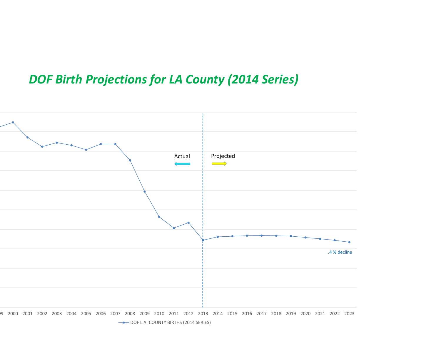# *DOF Birth Projections for LA County (2014 Series)*

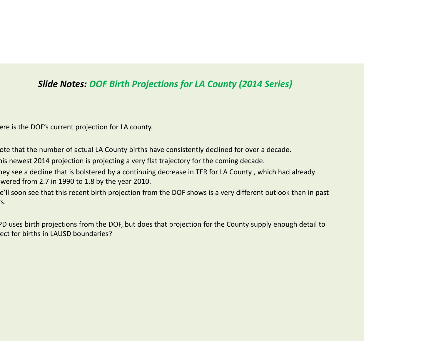#### *Slide Notes: DOF Birth Projections for LA County (2014 Series)*

ere is the DOF's current projection for LA county.

ote that the number of actual LA County births have consistently declined for over <sup>a</sup> decade.

his newest 2014 projection is projecting <sup>a</sup> very flat trajectory for the coming decade.

hey see a decline that is bolstered by a continuing decrease in TFR for LA County, which had already wered from 2.7 in 1990 to 1.8 by the year 2010.

e'll soon see that this recent birth projection from the DOF shows is <sup>a</sup> very different outlook than in past rs.

PD uses birth projections from the DOF, but does that projection for the County supply enough detail to ect for births in LAUSD boundaries?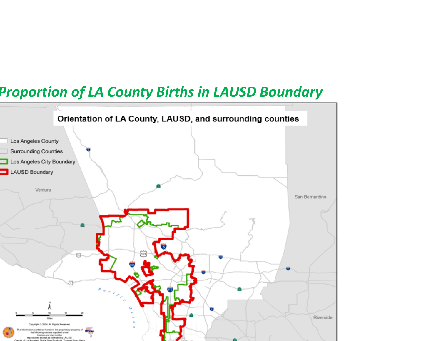

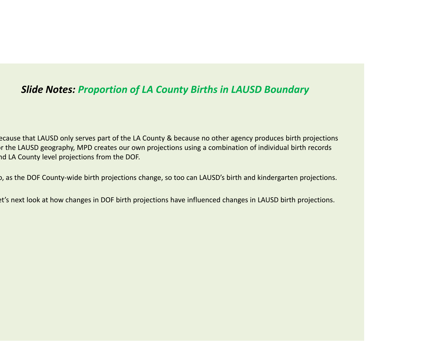### *Slide Notes: Proportion of LA County Births in LAUSD Boundary*

ecause that LAUSD only serves part of the LA County & because no other agency produces birth projections r the LAUSD geography, MPD creates our own projections using a combination of individual birth records nd LA County level projections from the DOF.

o, as the DOF County‐wide birth projections change, so too can LAUSD's birth and kindergarten projections.

et's next look at how changes in DOF birth projections have influenced changes in LAUSD birth projections.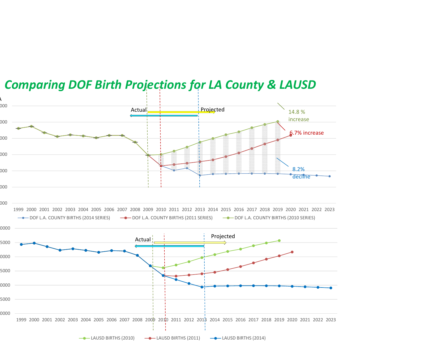

## *Comparing DOF Birth Projections for LA County & LAUSD*

 $\rightarrow$  LAUSD BIRTHS (2010)  $\rightarrow$  LAUSD BIRTHS (2011)  $\rightarrow$  LAUSD BIRTHS (2014)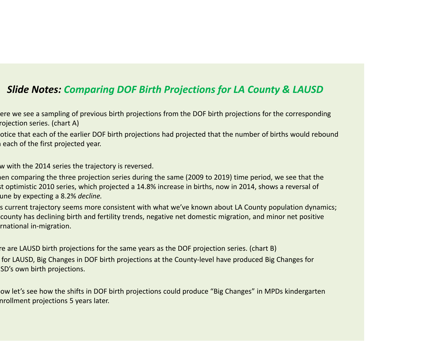#### *Slide Notes: Comparing DOF Birth Projections for LA County & LAUSD*

ere we see <sup>a</sup> sampling of previous birth projections from the DOF birth projections for the corresponding rojection series. (chart A)

otice that each of the earlier DOF birth projections had projected that the number of births would rebound n each of the first projected year.

w with the 2014 series the trajectory is reversed.

hen comparing the three projection series during the same (2009 to 2019) time period, we see that the st optimistic 2010 series, which projected <sup>a</sup> 14.8% increase in births, now in 2014, shows <sup>a</sup> reversal of une by expecting <sup>a</sup> 8.2% *decline.*

s current trajectory seems more consistent with what we've known about LA County population dynamics; county has declining birth and fertility trends, negative net domestic migration, and minor net positive rnational in‐migration.

re are LAUSD birth projections for the same years as the DOF projection series. (chart B) for LAUSD, Big Changes in DOF birth projections at the County‐level have produced Big Changes for SD's own birth projections.

ow let's see how the shifts in DOF birth projections could produce "Big Changes" in MPDs kindergarten nrollment projections 5 years later.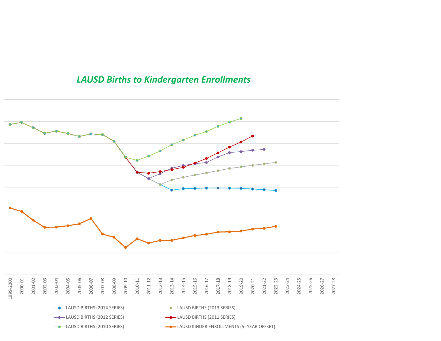#### *LAUSD Births to Kindergarten Enrollments*

![](_page_13_Figure_1.jpeg)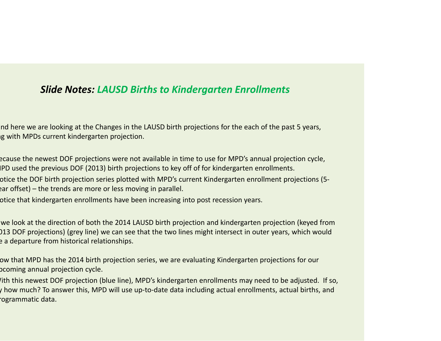### *Slide Notes: LAUSD Births to Kindergarten Enrollments*

nd here we are looking at the Changes in the LAUSD birth projections for the each of the past 5 years, ng with MPDs current kindergarten projection.

ecause the newest DOF projections were not available in time to use for MPD's annual projection cycle, IPD used the previous DOF (2013) birth projections to key off of for kindergarten enrollments.

otice the DOF birth projection series plotted with MPD's current Kindergarten enrollment projections (5‐ ear offset) – the trends are more or less moving in parallel.

otice that kindergarten enrollments have been increasing into post recession years.

we look at the direction of both the 2014 LAUSD birth projection and kindergarten projection (keyed from 013 DOF projections) (grey line) we can see that the two lines might intersect in outer years, which would e <sup>a</sup> departure from historical relationships.

ow that MPD has the 2014 birth projection series, we are evaluating Kindergarten projections for our pcoming annual projection cycle.

ith this newest DOF projection (blue line), MPD's kindergarten enrollments may need to be adjusted. If so, y how much? To answer this, MPD will use up‐to‐date data including actual enrollments, actual births, and rogrammatic data.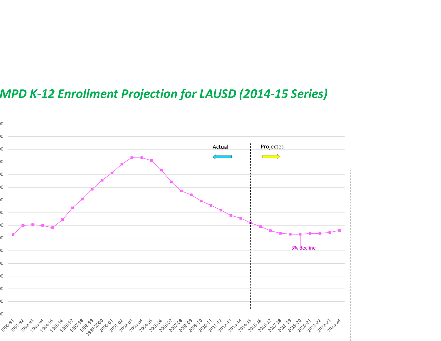# *MPD K‐12 Enrollment Projection for LAUSD (2014‐15 Series)*

![](_page_15_Figure_1.jpeg)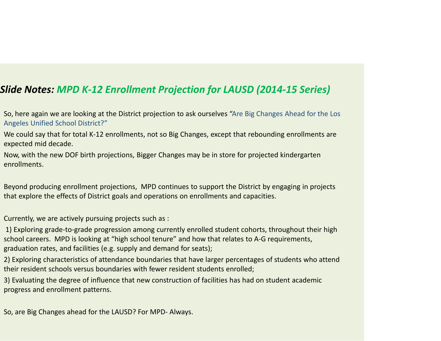### *Slide Notes: MPD K‐12 Enrollment Projection for LAUSD (2014‐15 Series)*

- So, here again we are looking at the District projection to ask ourselves "Are Big Changes Ahead for the Los Angeles Unified School District?"
- We could say that for total K‐12 enrollments, not so Big Changes, except that rebounding enrollments are expected mid decade.
- Now, with the new DOF birth projections, Bigger Changes may be in store for projected kindergarten enrollments.
- Beyond producing enrollment projections, MPD continues to support the District by engaging in projects that explore the effects of District goals and operations on enrollments and capacities.
- Currently, we are actively pursuing projects such as :
- 1) Exploring grade‐to‐grade progression among currently enrolled student cohorts, throughout their high school careers. MPD is looking at "high school tenure" and how that relates to A‐G requirements, graduation rates, and facilities (e.g. supply and demand for seats);
- 2) Exploring characteristics of attendance boundaries that have larger percentages of students who attend their resident schools versus boundaries with fewer resident students enrolled;
- 3) Evaluating the degree of influence that new construction of facilities has had on student academic progress and enrollment patterns.

So, are Big Changes ahead for the LAUSD? For MPD‐ Always.